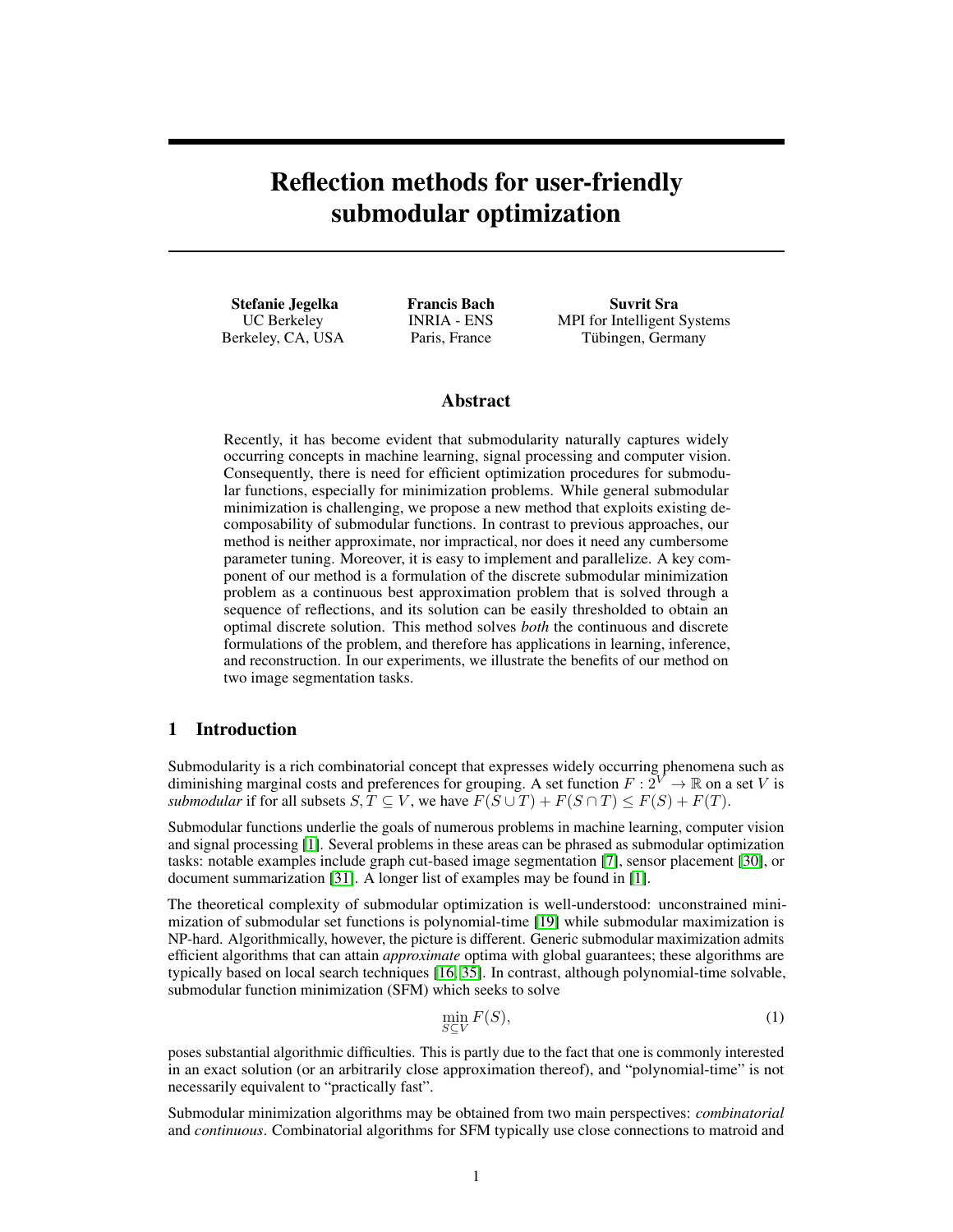# Reflection methods for user-friendly submodular optimization

Stefanie Jegelka UC Berkeley Berkeley, CA, USA Francis Bach INRIA - ENS Paris, France

Suvrit Sra MPI for Intelligent Systems Tübingen, Germany

## Abstract

Recently, it has become evident that submodularity naturally captures widely occurring concepts in machine learning, signal processing and computer vision. Consequently, there is need for efficient optimization procedures for submodular functions, especially for minimization problems. While general submodular minimization is challenging, we propose a new method that exploits existing decomposability of submodular functions. In contrast to previous approaches, our method is neither approximate, nor impractical, nor does it need any cumbersome parameter tuning. Moreover, it is easy to implement and parallelize. A key component of our method is a formulation of the discrete submodular minimization problem as a continuous best approximation problem that is solved through a sequence of reflections, and its solution can be easily thresholded to obtain an optimal discrete solution. This method solves *both* the continuous and discrete formulations of the problem, and therefore has applications in learning, inference, and reconstruction. In our experiments, we illustrate the benefits of our method on two image segmentation tasks.

## 1 Introduction

Submodularity is a rich combinatorial concept that expresses widely occurring phenomena such as diminishing marginal costs and preferences for grouping. A set function  $F: 2^V \to \mathbb{R}$  on a set V is *submodular* if for all subsets  $S, T \subseteq V$ , we have  $F(S \cup T) + F(S \cap T) \leq F(S) + F(T)$ .

Submodular functions underlie the goals of numerous problems in machine learning, computer vision and signal processing [1]. Several problems in these areas can be phrased as submodular optimization tasks: notable examples include graph cut-based image segmentation [7], sensor placement [30], or document summarization [31]. A longer list of examples may be found in [1].

The theoretical complexity of submodular optimization is well-understood: unconstrained minimization of submodular set functions is polynomial-time [19] while submodular maximization is NP-hard. Algorithmically, however, the picture is different. Generic submodular maximization admits efficient algorithms that can attain *approximate* optima with global guarantees; these algorithms are typically based on local search techniques [16, 35]. In contrast, although polynomial-time solvable, submodular function minimization (SFM) which seeks to solve

$$
\min_{S \subseteq V} F(S),\tag{1}
$$

poses substantial algorithmic difficulties. This is partly due to the fact that one is commonly interested in an exact solution (or an arbitrarily close approximation thereof), and "polynomial-time" is not necessarily equivalent to "practically fast".

Submodular minimization algorithms may be obtained from two main perspectives: *combinatorial* and *continuous*. Combinatorial algorithms for SFM typically use close connections to matroid and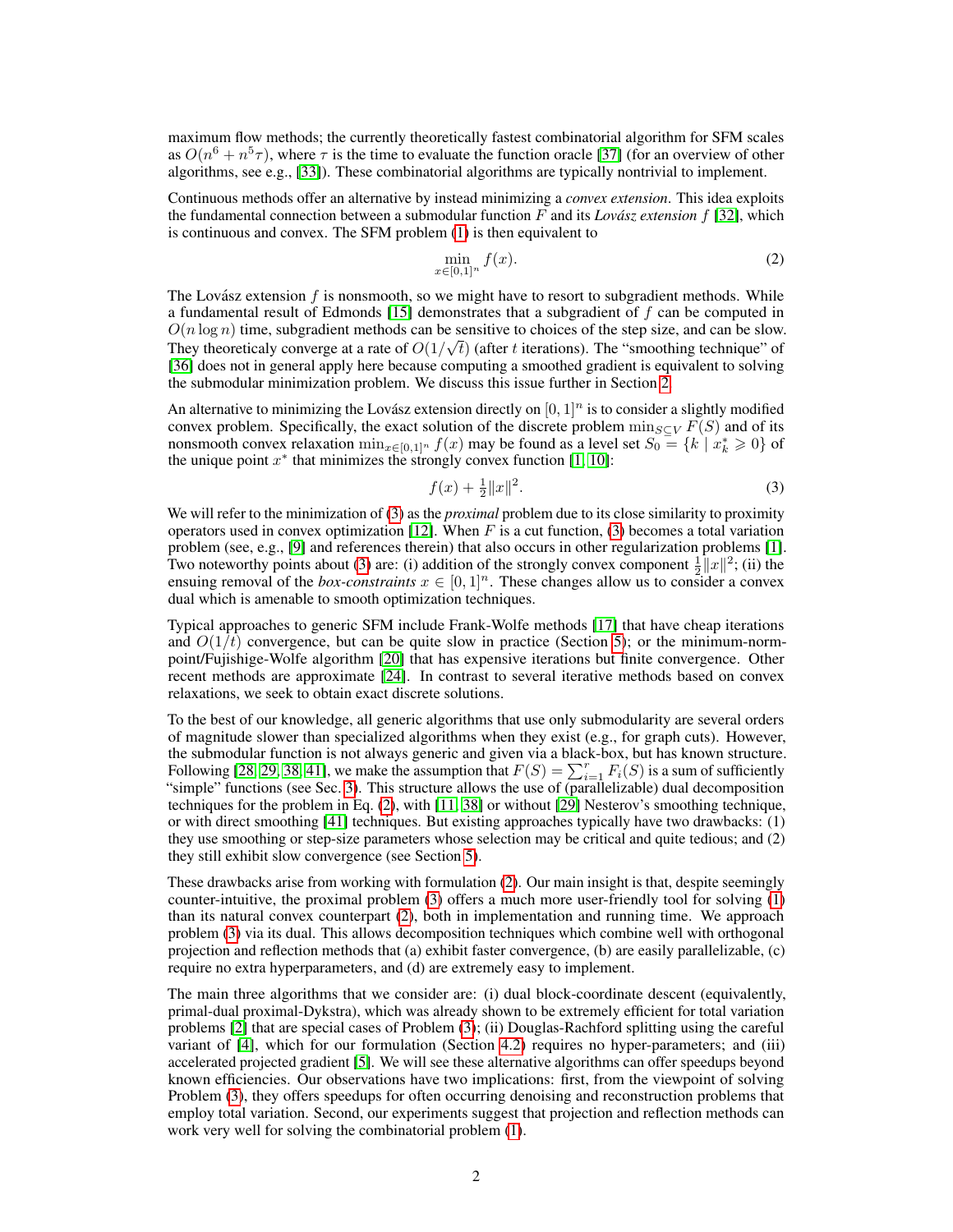maximum flow methods; the currently theoretically fastest combinatorial algorithm for SFM scales as  $O(n^6 + n^5 \tau)$ , where  $\tau$  is the time to evaluate the function oracle [37] (for an overview of other algorithms, see e.g., [33]). These combinatorial algorithms are typically nontrivial to implement.

Continuous methods offer an alternative by instead minimizing a *convex extension*. This idea exploits the fundamental connection between a submodular function F and its *Lovász extension*  $f$  [32], which is continuous and convex. The SFM problem (1) is then equivalent to

$$
\min_{x \in [0,1]^n} f(x). \tag{2}
$$

The Lovász extension  $f$  is nonsmooth, so we might have to resort to subgradient methods. While a fundamental result of Edmonds [15] demonstrates that a subgradient of  $f$  can be computed in  $O(n \log n)$  time, subgradient methods can be sensitive to choices of the step size, and can be slow. They theoreticaly converge at a rate of  $O(1/\sqrt{t})$  (after t iterations). The "smoothing technique" of [36] does not in general apply here because computing a smoothed gradient is equivalent to solving the submodular minimization problem. We discuss this issue further in Section 2.

An alternative to minimizing the Lovász extension directly on  $[0, 1]^n$  is to consider a slightly modified convex problem. Specifically, the exact solution of the discrete problem  $\min_{S\subset V} F(S)$  and of its nonsmooth convex relaxation  $\min_{x \in [0,1]^n} f(x)$  may be found as a level set  $S_0 = \{k \mid x_k^* \ge 0\}$  of the unique point  $x^*$  that minimizes the strongly convex function [1, 10]:

$$
f(x) + \frac{1}{2} \|x\|^2. \tag{3}
$$

We will refer to the minimization of (3) as the *proximal* problem due to its close similarity to proximity operators used in convex optimization [12]. When  $F$  is a cut function, (3) becomes a total variation problem (see, e.g., [9] and references therein) that also occurs in other regularization problems [1]. Two noteworthy points about (3) are: (i) addition of the strongly convex component  $\frac{1}{2}||x||^2$ ; (ii) the ensuing removal of the *box-constraints*  $x \in [0, 1]^n$ . These changes allow us to consider a convex dual which is amenable to smooth optimization techniques.

Typical approaches to generic SFM include Frank-Wolfe methods [17] that have cheap iterations and  $O(1/t)$  convergence, but can be quite slow in practice (Section 5); or the minimum-normpoint/Fujishige-Wolfe algorithm [20] that has expensive iterations but finite convergence. Other recent methods are approximate [24]. In contrast to several iterative methods based on convex relaxations, we seek to obtain exact discrete solutions.

To the best of our knowledge, all generic algorithms that use only submodularity are several orders of magnitude slower than specialized algorithms when they exist (e.g., for graph cuts). However, the submodular function is not always generic and given via a black-box, but has known structure. Following [28, 29, 38, 41], we make the assumption that  $F(S) = \sum_{i=1}^{r} F_i(S)$  is a sum of sufficiently "simple" functions (see Sec. 3). This structure allows the use of (parallelizable) dual decomposition techniques for the problem in Eq. (2), with [11, 38] or without [29] Nesterov's smoothing technique, or with direct smoothing [41] techniques. But existing approaches typically have two drawbacks: (1) they use smoothing or step-size parameters whose selection may be critical and quite tedious; and (2) they still exhibit slow convergence (see Section 5).

These drawbacks arise from working with formulation (2). Our main insight is that, despite seemingly counter-intuitive, the proximal problem (3) offers a much more user-friendly tool for solving (1) than its natural convex counterpart (2), both in implementation and running time. We approach problem (3) via its dual. This allows decomposition techniques which combine well with orthogonal projection and reflection methods that (a) exhibit faster convergence, (b) are easily parallelizable, (c) require no extra hyperparameters, and (d) are extremely easy to implement.

The main three algorithms that we consider are: (i) dual block-coordinate descent (equivalently, primal-dual proximal-Dykstra), which was already shown to be extremely efficient for total variation problems [2] that are special cases of Problem (3); (ii) Douglas-Rachford splitting using the careful variant of [4], which for our formulation (Section 4.2) requires no hyper-parameters; and (iii) accelerated projected gradient [5]. We will see these alternative algorithms can offer speedups beyond known efficiencies. Our observations have two implications: first, from the viewpoint of solving Problem (3), they offers speedups for often occurring denoising and reconstruction problems that employ total variation. Second, our experiments suggest that projection and reflection methods can work very well for solving the combinatorial problem (1).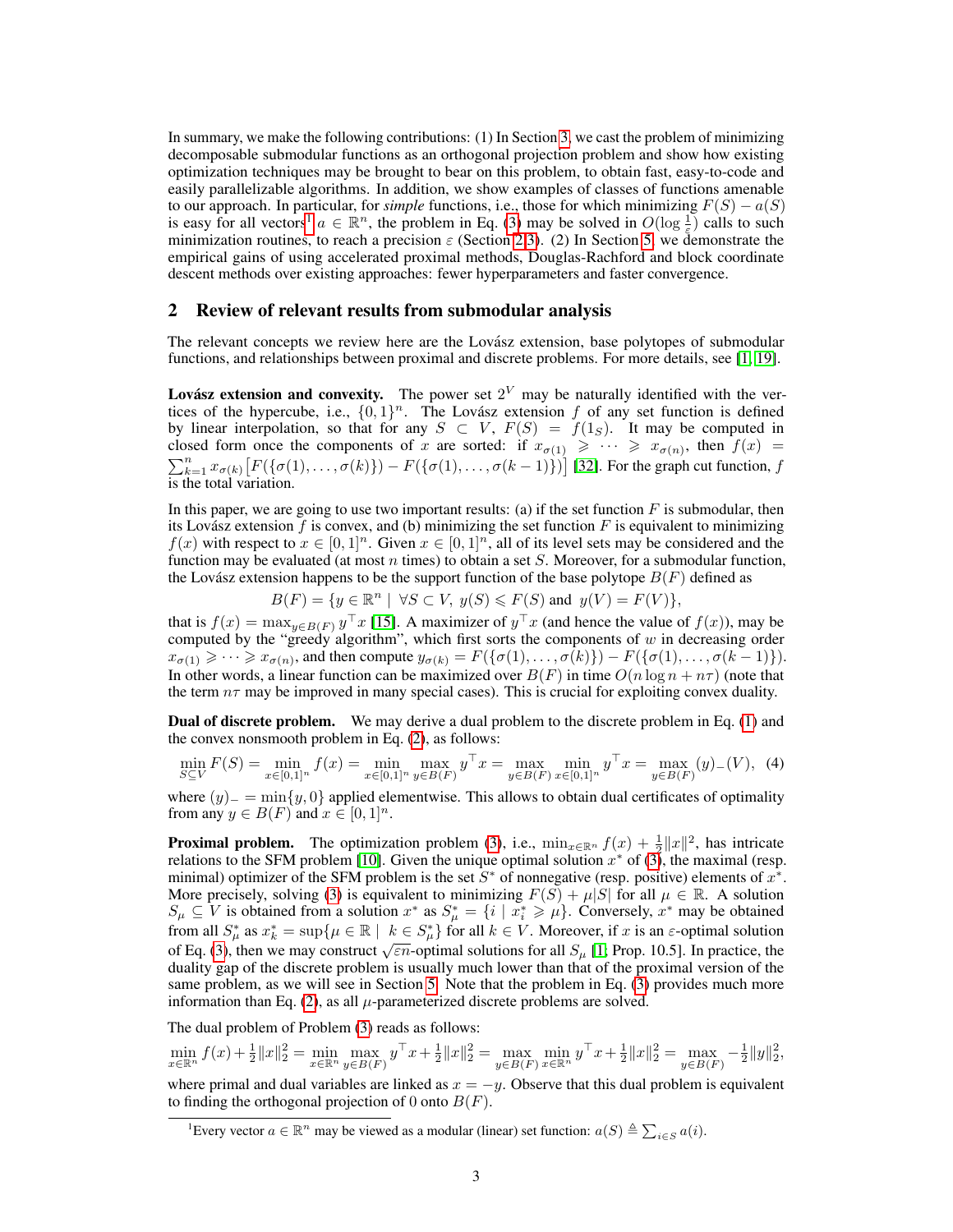In summary, we make the following contributions: (1) In Section 3, we cast the problem of minimizing decomposable submodular functions as an orthogonal projection problem and show how existing optimization techniques may be brought to bear on this problem, to obtain fast, easy-to-code and easily parallelizable algorithms. In addition, we show examples of classes of functions amenable to our approach. In particular, for *simple* functions, i.e., those for which minimizing  $F(S) - a(S)$ is easy for all vectors<sup>1</sup>  $a \in \mathbb{R}^n$ , the problem in Eq. (3) may be solved in  $O(\log \frac{1}{\epsilon})$  calls to such minimization routines, to reach a precision  $\varepsilon$  (Section 2,3). (2) In Section 5, we demonstrate the empirical gains of using accelerated proximal methods, Douglas-Rachford and block coordinate descent methods over existing approaches: fewer hyperparameters and faster convergence.

### 2 Review of relevant results from submodular analysis

The relevant concepts we review here are the Lovász extension, base polytopes of submodular functions, and relationships between proximal and discrete problems. For more details, see [1, 19].

Lovász extension and convexity. The power set  $2^V$  may be naturally identified with the vertices of the hypercube, i.e.,  $\{0,1\}^n$ . The Lovász extension f of any set function is defined by linear interpolation, so that for any  $S \subset V$ ,  $F(S) = f(1_S)$ . It may be computed in closed form once the components of x are sorted: if  $x_{\sigma(1)} \geq \cdots \geq x_{\sigma(n)}$ , then  $f(x) =$  $\sum_{k=1}^{n} x_{\sigma(k)} [F(\{\sigma(1), \ldots, \sigma(k)\}) - F(\{\sigma(1), \ldots, \sigma(k-1)\})]$  [32]. For the graph cut function, f is the total variation.

In this paper, we are going to use two important results: (a) if the set function  $F$  is submodular, then its Lovász extension  $f$  is convex, and (b) minimizing the set function  $F$  is equivalent to minimizing  $f(x)$  with respect to  $x \in [0,1]^n$ . Given  $x \in [0,1]^n$ , all of its level sets may be considered and the function may be evaluated (at most n times) to obtain a set  $S$ . Moreover, for a submodular function, the Lovász extension happens to be the support function of the base polytope  $B(F)$  defined as

$$
B(F) = \{ y \in \mathbb{R}^n \mid \forall S \subset V, \ y(S) \le F(S) \text{ and } y(V) = F(V) \},
$$

that is  $f(x) = \max_{y \in B(F)} y^\top x$  [15]. A maximizer of  $y^\top x$  (and hence the value of  $f(x)$ ), may be computed by the "greedy algorithm", which first sorts the components of  $w$  in decreasing order  $x_{\sigma(1)} \geqslant \cdots \geqslant x_{\sigma(n)}$ , and then compute  $y_{\sigma(k)} = F(\{\sigma(1), \ldots, \sigma(k)\}) - F(\{\sigma(1), \ldots, \sigma(k-1)\}).$ In other words, a linear function can be maximized over  $B(F)$  in time  $O(n \log n + n\tau)$  (note that the term  $n\tau$  may be improved in many special cases). This is crucial for exploiting convex duality.

Dual of discrete problem. We may derive a dual problem to the discrete problem in Eq. (1) and the convex nonsmooth problem in Eq. (2), as follows:

$$
\min_{S \subseteq V} F(S) = \min_{x \in [0,1]^n} f(x) = \min_{x \in [0,1]^n} \max_{y \in B(F)} y^\top x = \max_{y \in B(F)} \min_{x \in [0,1]^n} y^\top x = \max_{y \in B(F)} (y)_{-}(V), \tag{4}
$$

where  $(y)$  =  $\min\{y, 0\}$  applied elementwise. This allows to obtain dual certificates of optimality from any  $y \in B(F)$  and  $x \in [0,1]^n$ .

**Proximal problem.** The optimization problem (3), i.e.,  $\min_{x \in \mathbb{R}^n} f(x) + \frac{1}{2} ||x||^2$ , has intricate relations to the SFM problem [10]. Given the unique optimal solution  $x^*$  of  $(3)$ , the maximal (resp. minimal) optimizer of the SFM problem is the set  $S^*$  of nonnegative (resp. positive) elements of  $x^*$ . More precisely, solving (3) is equivalent to minimizing  $F(S) + \mu|S|$  for all  $\mu \in \mathbb{R}$ . A solution  $S_{\mu} \subseteq V$  is obtained from a solution  $x^*$  as  $S_{\mu}^* = \{i \mid x_i^* \geqslant \mu\}$ . Conversely,  $x^*$  may be obtained from all  $S^*_{\mu}$  as  $x^*_{k} = \sup \{ \mu \in \mathbb{R} \mid k \in S^*_{\mu} \}$  for all  $k \in V$ . Moreover, if x is an  $\varepsilon$ -optimal solution of Eq. (3), then we may construct  $\sqrt{\epsilon n}$ -optimal solutions for all  $S_\mu$  [1; Prop. 10.5]. In practice, the duality gap of the discrete problem is usually much lower than that of the proximal version of the same problem, as we will see in Section 5. Note that the problem in Eq. (3) provides much more information than Eq. (2), as all  $\mu$ -parameterized discrete problems are solved.

The dual problem of Problem (3) reads as follows:

to finding the orthogonal projection of 0 onto  $B(F)$ .

 $\min_{x \in \mathbb{R}^n} f(x) + \frac{1}{2} ||x||_2^2 = \min_{x \in \mathbb{R}^n} \max_{y \in B(F)} y^\top x + \frac{1}{2} ||x||_2^2 = \max_{y \in B(F)} \min_{x \in \mathbb{R}^n} y^\top x + \frac{1}{2} ||x||_2^2 = \max_{y \in B(F)} -\frac{1}{2} ||y||_2^2$ where primal and dual variables are linked as  $x = -y$ . Observe that this dual problem is equivalent

<sup>&</sup>lt;sup>1</sup>Every vector  $a \in \mathbb{R}^n$  may be viewed as a modular (linear) set function:  $a(S) \triangleq \sum_{i \in S} a(i)$ .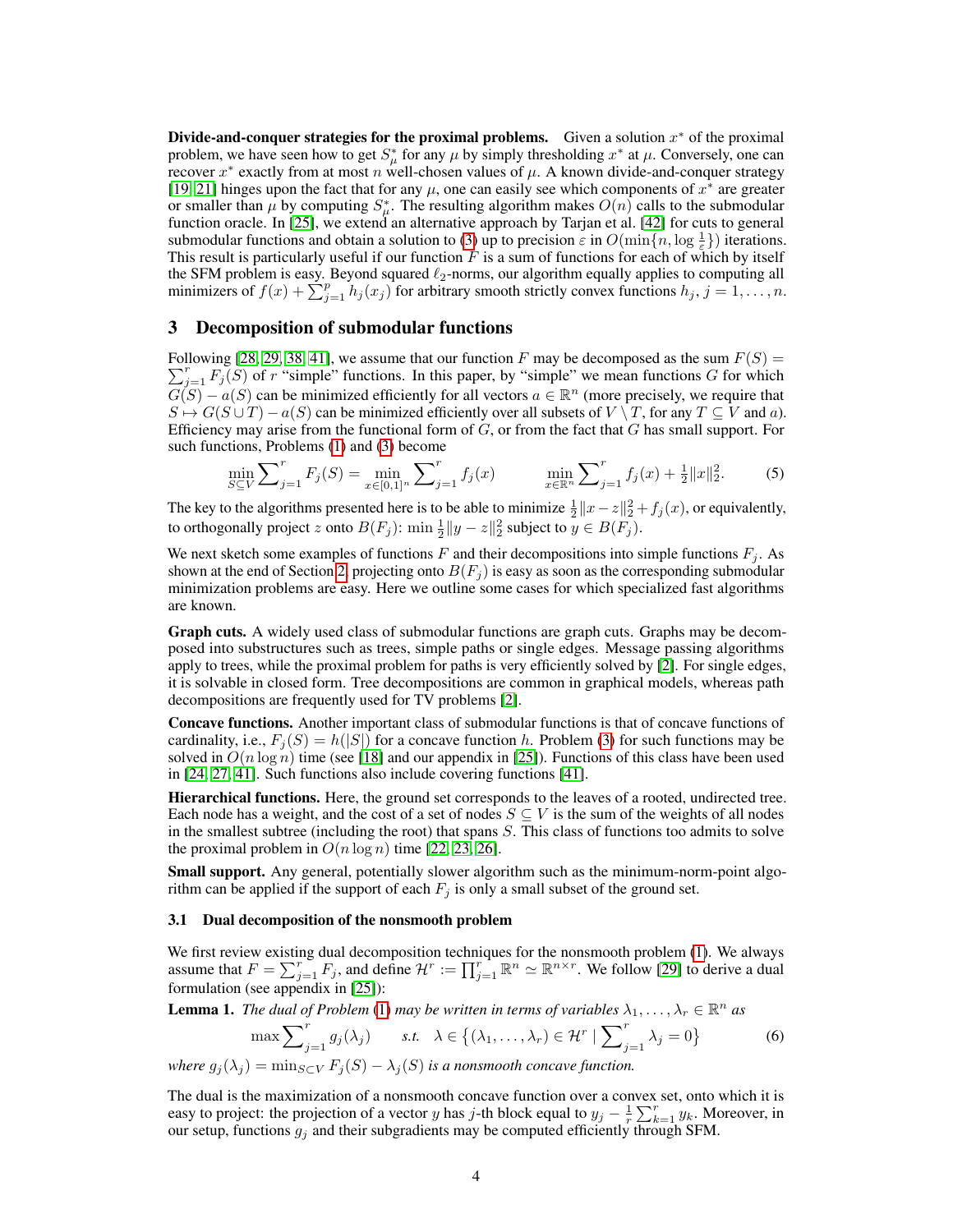Divide-and-conquer strategies for the proximal problems. Given a solution  $x^*$  of the proximal problem, we have seen how to get  $S^*_{\mu}$  for any  $\mu$  by simply thresholding  $x^*$  at  $\mu$ . Conversely, one can recover  $x^*$  exactly from at most n well-chosen values of  $\mu$ . A known divide-and-conquer strategy [19, 21] hinges upon the fact that for any  $\mu$ , one can easily see which components of  $x^*$  are greater or smaller than  $\mu$  by computing  $S^*_{\mu}$ . The resulting algorithm makes  $O(n)$  calls to the submodular function oracle. In [25], we extend an alternative approach by Tarjan et al. [42] for cuts to general submodular functions and obtain a solution to (3) up to precision  $\varepsilon$  in  $O(\min\{n, \log \frac{1}{\varepsilon}\})$  iterations. This result is particularly useful if our function  $F$  is a sum of functions for each of which by itself the SFM problem is easy. Beyond squared  $\ell_2$ -norms, our algorithm equally applies to computing all minimizers of  $f(x) + \sum_{j=1}^{p} h_j(x_j)$  for arbitrary smooth strictly convex functions  $h_j$ ,  $j = 1, ..., n$ .

#### 3 Decomposition of submodular functions

Following [28, 29, 38, 41], we assume that our function F may be decomposed as the sum  $F(S)$  =  $\sum_{j=1}^{r} F_j(S)$  of r "simple" functions. In this paper, by "simple" we mean functions G for which  $G(S) - a(S)$  can be minimized efficiently for all vectors  $a \in \mathbb{R}^n$  (more precisely, we require that  $S \mapsto G(S \cup T) - a(S)$  can be minimized efficiently over all subsets of  $V \setminus T$ , for any  $T \subseteq V$  and a). Efficiency may arise from the functional form of  $G$ , or from the fact that  $G$  has small support. For such functions, Problems (1) and (3) become

$$
\min_{S \subseteq V} \sum_{j=1}^{r} F_j(S) = \min_{x \in [0,1]^n} \sum_{j=1}^{r} f_j(x) \qquad \min_{x \in \mathbb{R}^n} \sum_{j=1}^{r} f_j(x) + \frac{1}{2} \|x\|_2^2. \tag{5}
$$

The key to the algorithms presented here is to be able to minimize  $\frac{1}{2}||x-z||_2^2 + f_j(x)$ , or equivalently, to orthogonally project z onto  $B(F_j)$ :  $\min \frac{1}{2} ||y - z||_2^2$  subject to  $y \in B(F_j)$ .

We next sketch some examples of functions  $F$  and their decompositions into simple functions  $F_i$ . As shown at the end of Section 2, projecting onto  $B(F_i)$  is easy as soon as the corresponding submodular minimization problems are easy. Here we outline some cases for which specialized fast algorithms are known.

Graph cuts. A widely used class of submodular functions are graph cuts. Graphs may be decomposed into substructures such as trees, simple paths or single edges. Message passing algorithms apply to trees, while the proximal problem for paths is very efficiently solved by [2]. For single edges, it is solvable in closed form. Tree decompositions are common in graphical models, whereas path decompositions are frequently used for TV problems [2].

Concave functions. Another important class of submodular functions is that of concave functions of cardinality, i.e.,  $F_i(S) = h(|S|)$  for a concave function h. Problem (3) for such functions may be solved in  $O(n \log n)$  time (see [18] and our appendix in [25]). Functions of this class have been used in [24, 27, 41]. Such functions also include covering functions [41].

Hierarchical functions. Here, the ground set corresponds to the leaves of a rooted, undirected tree. Each node has a weight, and the cost of a set of nodes  $S \subseteq V$  is the sum of the weights of all nodes in the smallest subtree (including the root) that spans S. This class of functions too admits to solve the proximal problem in  $O(n \log n)$  time [22, 23, 26].

Small support. Any general, potentially slower algorithm such as the minimum-norm-point algorithm can be applied if the support of each  $F_j$  is only a small subset of the ground set.

#### 3.1 Dual decomposition of the nonsmooth problem

We first review existing dual decomposition techniques for the nonsmooth problem (1). We always assume that  $F = \sum_{j=1}^{r} F_j$ , and define  $\mathcal{H}^r := \prod_{j=1}^{r} \mathbb{R}^n \simeq \mathbb{R}^{n \times r}$ . We follow [29] to derive a dual formulation (see appendix in [25]):

**Lemma 1.** The dual of Problem (1) may be written in terms of variables  $\lambda_1, \ldots, \lambda_r \in \mathbb{R}^n$  as

$$
\max \sum_{j=1}^{r} g_j(\lambda_j) \qquad s.t. \quad \lambda \in \left\{ (\lambda_1, \dots, \lambda_r) \in \mathcal{H}^r \mid \sum_{j=1}^{r} \lambda_j = 0 \right\} \tag{6}
$$

*where*  $g_i(\lambda_i) = \min_{S \subset V} F_i(S) - \lambda_i(S)$  *is a nonsmooth concave function.* 

The dual is the maximization of a nonsmooth concave function over a convex set, onto which it is easy to project: the projection of a vector y has j-th block equal to  $y_j - \frac{1}{r} \sum_{k=1}^r y_k$ . Moreover, in our setup, functions  $g_j$  and their subgradients may be computed efficiently through SFM.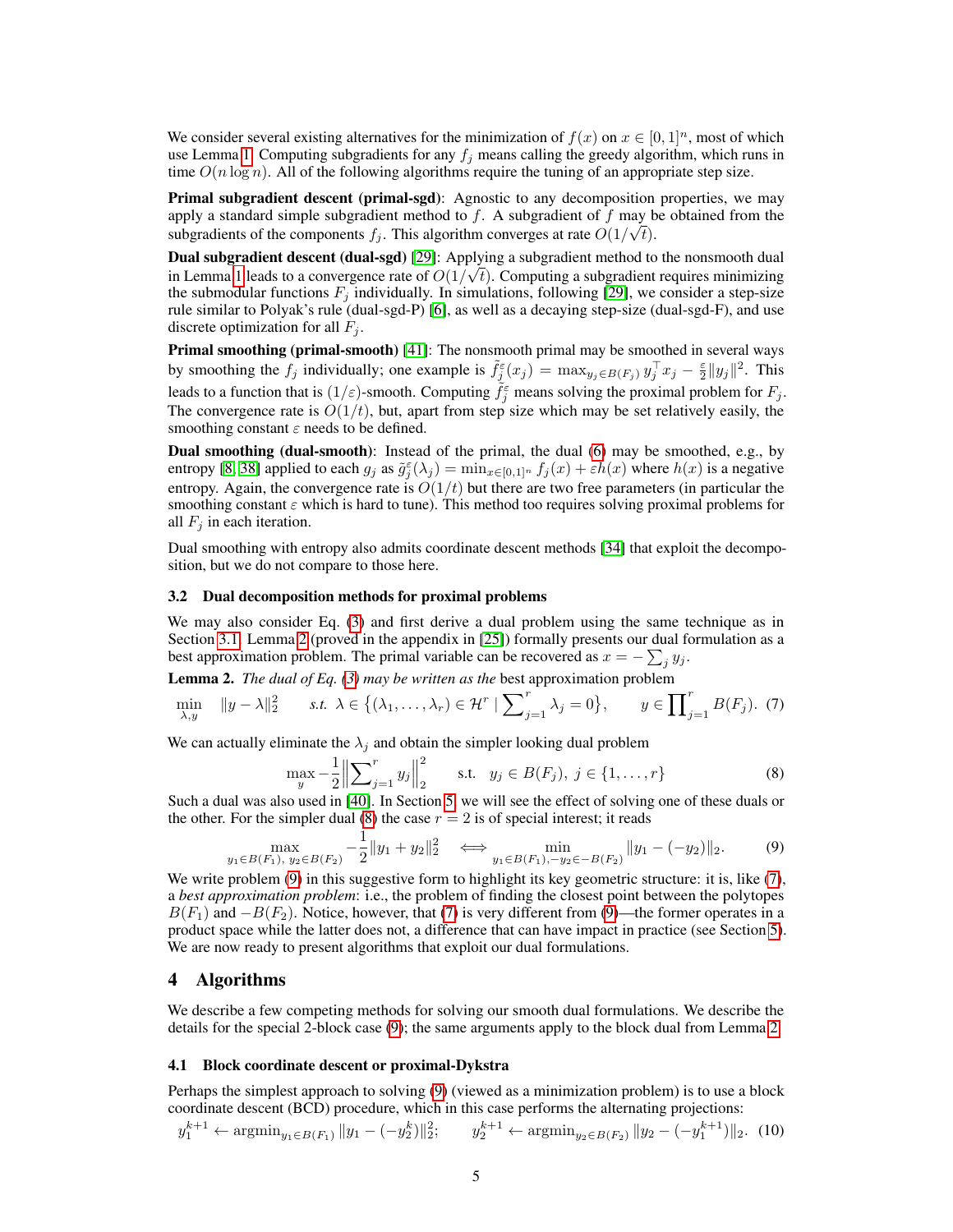We consider several existing alternatives for the minimization of  $f(x)$  on  $x \in [0,1]^n$ , most of which use Lemma 1. Computing subgradients for any  $f_i$  means calling the greedy algorithm, which runs in time  $O(n \log n)$ . All of the following algorithms require the tuning of an appropriate step size.

Primal subgradient descent (primal-sgd): Agnostic to any decomposition properties, we may apply a standard simple subgradient method to f. A subgradient of f may be obtained from the subgradients of the components  $f_j$ . This algorithm converges at rate  $O(1/\sqrt{t})$ .

**Dual subgradient descent (dual-sgd)** [29]: Applying a subgradient method to the nonsmooth dual in Lemma 1 leads to a convergence rate of  $O(1/\sqrt{t})$ . Computing a subgradient requires minimizing the submodular functions  $F_i$  individually. In simulations, following [29], we consider a step-size rule similar to Polyak's rule (dual-sgd-P) [6], as well as a decaying step-size (dual-sgd-F), and use discrete optimization for all  $F_i$ .

Primal smoothing (primal-smooth) [41]: The nonsmooth primal may be smoothed in several ways by smoothing the  $f_j$  individually; one example is  $\tilde{f}_j^{\varepsilon}(x_j) = \max_{y_j \in B(F_j)} y_j^{\top} x_j - \frac{\varepsilon}{2} ||y_j||^2$ . This leads to a function that is  $(1/\varepsilon)$ -smooth. Computing  $\tilde{f}_j^{\varepsilon}$  means solving the proximal problem for  $F_j$ . The convergence rate is  $O(1/t)$ , but, apart from step size which may be set relatively easily, the smoothing constant  $\varepsilon$  needs to be defined.

Dual smoothing (dual-smooth): Instead of the primal, the dual (6) may be smoothed, e.g., by entropy [8, 38] applied to each  $g_j$  as  $\tilde{g}_j^{\varepsilon}(\lambda_j) = \min_{x \in [0,1]^n} f_j(x) + \varepsilon h(x)$  where  $h(x)$  is a negative entropy. Again, the convergence rate is  $O(1/t)$  but there are two free parameters (in particular the smoothing constant  $\varepsilon$  which is hard to tune). This method too requires solving proximal problems for all  $F_i$  in each iteration.

Dual smoothing with entropy also admits coordinate descent methods [34] that exploit the decomposition, but we do not compare to those here.

#### 3.2 Dual decomposition methods for proximal problems

We may also consider Eq. (3) and first derive a dual problem using the same technique as in Section 3.1. Lemma 2 (proved in the appendix in [25]) formally presents our dual formulation as a best approximation problem. The primal variable can be recovered as  $x = -\sum_j y_j$ .

Lemma 2. *The dual of Eq. (3) may be written as the* best approximation problem

$$
\min_{\lambda, y} \quad \|y - \lambda\|_2^2 \qquad \text{s.t. } \lambda \in \left\{ (\lambda_1, \dots, \lambda_r) \in \mathcal{H}^r \mid \sum_{j=1}^r \lambda_j = 0 \right\}, \qquad y \in \prod_{j=1}^r B(F_j). \tag{7}
$$

We can actually eliminate the  $\lambda_j$  and obtain the simpler looking dual problem

$$
\max_{y} -\frac{1}{2} \left\| \sum_{j=1}^{r} y_j \right\|_2^2 \quad \text{s.t.} \quad y_j \in B(F_j), \ j \in \{1, \dots, r\}
$$
 (8)

Such a dual was also used in [40]. In Section 5, we will see the effect of solving one of these duals or the other. For the simpler dual (8) the case  $r = 2$  is of special interest; it reads

$$
\max_{y_1 \in B(F_1), y_2 \in B(F_2)} -\frac{1}{2} \|y_1 + y_2\|_2^2 \iff \min_{y_1 \in B(F_1), -y_2 \in -B(F_2)} \|y_1 - (-y_2)\|_2. \tag{9}
$$

We write problem (9) in this suggestive form to highlight its key geometric structure: it is, like (7), a *best approximation problem*: i.e., the problem of finding the closest point between the polytopes  $B(F_1)$  and  $-B(F_2)$ . Notice, however, that (7) is very different from (9)—the former operates in a product space while the latter does not, a difference that can have impact in practice (see Section 5). We are now ready to present algorithms that exploit our dual formulations.

#### 4 Algorithms

We describe a few competing methods for solving our smooth dual formulations. We describe the details for the special 2-block case (9); the same arguments apply to the block dual from Lemma 2.

#### 4.1 Block coordinate descent or proximal-Dykstra

Perhaps the simplest approach to solving (9) (viewed as a minimization problem) is to use a block coordinate descent (BCD) procedure, which in this case performs the alternating projections:

$$
y_1^{k+1} \leftarrow \operatorname{argmin}_{y_1 \in B(F_1)} \|y_1 - (-y_2^k)\|_2^2; \qquad y_2^{k+1} \leftarrow \operatorname{argmin}_{y_2 \in B(F_2)} \|y_2 - (-y_1^{k+1})\|_2. \tag{10}
$$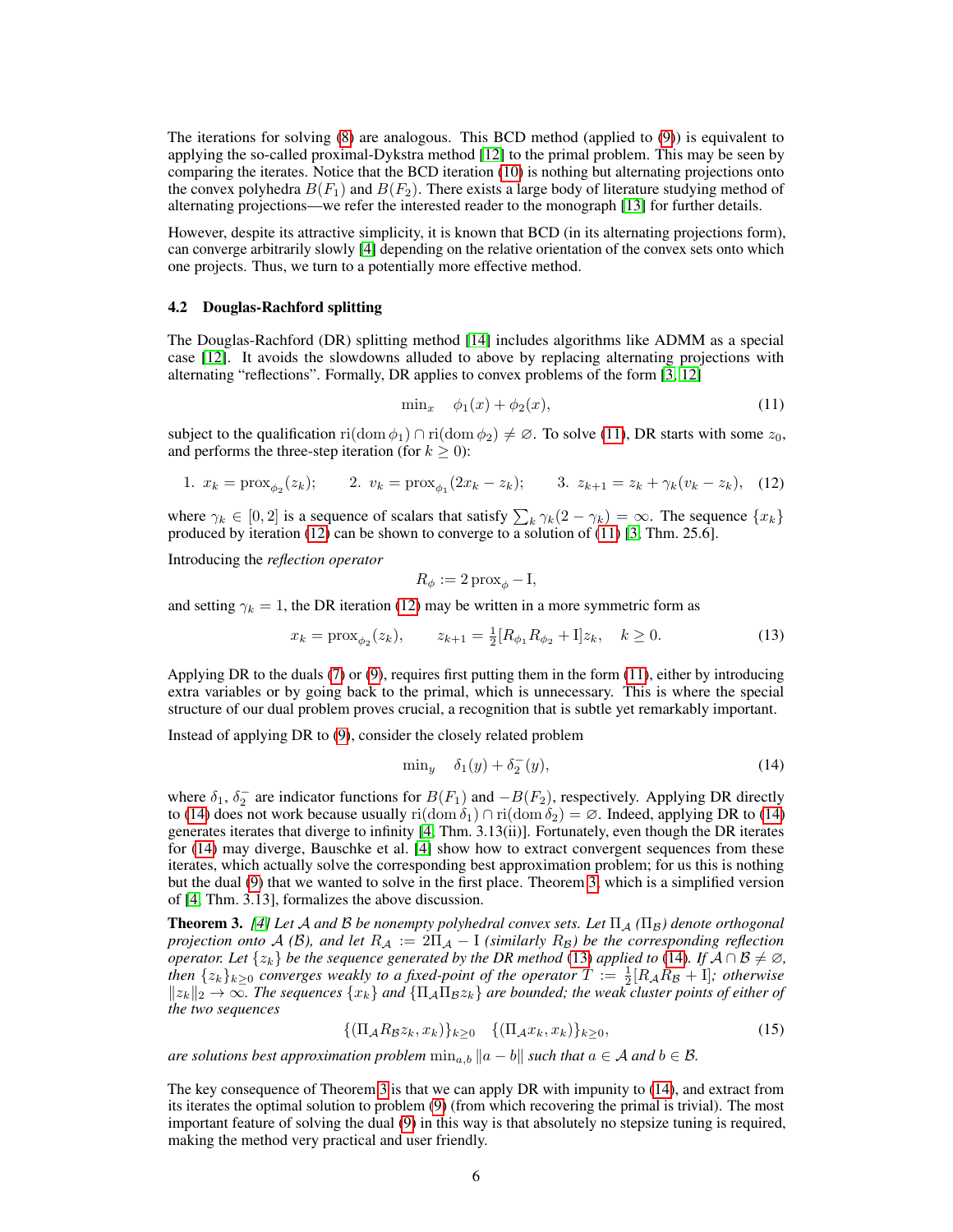The iterations for solving (8) are analogous. This BCD method (applied to (9)) is equivalent to applying the so-called proximal-Dykstra method [12] to the primal problem. This may be seen by comparing the iterates. Notice that the BCD iteration (10) is nothing but alternating projections onto the convex polyhedra  $B(F_1)$  and  $B(F_2)$ . There exists a large body of literature studying method of alternating projections—we refer the interested reader to the monograph [13] for further details.

However, despite its attractive simplicity, it is known that BCD (in its alternating projections form), can converge arbitrarily slowly [4] depending on the relative orientation of the convex sets onto which one projects. Thus, we turn to a potentially more effective method.

#### 4.2 Douglas-Rachford splitting

The Douglas-Rachford (DR) splitting method [14] includes algorithms like ADMM as a special case [12]. It avoids the slowdowns alluded to above by replacing alternating projections with alternating "reflections". Formally, DR applies to convex problems of the form [3, 12]

$$
\min_x \quad \phi_1(x) + \phi_2(x), \tag{11}
$$

subject to the qualification ri(dom  $\phi_1$ ) ∩ ri(dom  $\phi_2$ )  $\neq \emptyset$ . To solve (11), DR starts with some  $z_0$ , and performs the three-step iteration (for  $k \geq 0$ ):

1. 
$$
x_k = \text{prox}_{\phi_2}(z_k);
$$
 2.  $v_k = \text{prox}_{\phi_1}(2x_k - z_k);$  3.  $z_{k+1} = z_k + \gamma_k(v_k - z_k),$  (12)

where  $\gamma_k \in [0,2]$  is a sequence of scalars that satisfy  $\sum_k \gamma_k(2-\gamma_k) = \infty$ . The sequence  $\{x_k\}$ produced by iteration (12) can be shown to converge to a solution of (11) [3; Thm. 25.6].

Introducing the *reflection operator*

$$
R_{\phi} := 2 \operatorname{prox}_{\phi} - I,
$$

and setting  $\gamma_k = 1$ , the DR iteration (12) may be written in a more symmetric form as

$$
x_k = \text{prox}_{\phi_2}(z_k), \qquad z_{k+1} = \frac{1}{2}[R_{\phi_1}R_{\phi_2} + 1]z_k, \quad k \ge 0. \tag{13}
$$

Applying DR to the duals (7) or (9), requires first putting them in the form (11), either by introducing extra variables or by going back to the primal, which is unnecessary. This is where the special structure of our dual problem proves crucial, a recognition that is subtle yet remarkably important.

Instead of applying DR to (9), consider the closely related problem

$$
\min_{y} \quad \delta_1(y) + \delta_2^-(y),\tag{14}
$$

where  $\delta_1$ ,  $\delta_2^-$  are indicator functions for  $B(F_1)$  and  $-B(F_2)$ , respectively. Applying DR directly to (14) does not work because usually ri(dom  $\delta_1$ ) ∩ ri(dom  $\delta_2$ ) = ∅. Indeed, applying DR to (14) generates iterates that diverge to infinity [4; Thm. 3.13(ii)]. Fortunately, even though the DR iterates for (14) may diverge, Bauschke et al. [4] show how to extract convergent sequences from these iterates, which actually solve the corresponding best approximation problem; for us this is nothing but the dual (9) that we wanted to solve in the first place. Theorem 3, which is a simplified version of [4; Thm. 3.13], formalizes the above discussion.

**Theorem 3.** *[4]* Let A and B be nonempty polyhedral convex sets. Let  $\Pi_A$  ( $\Pi_B$ ) denote orthogonal *projection onto*  $A(\mathcal{B})$ *, and let*  $R_A := 2\Pi_A - I$  *(similarly*  $R_B$ *) be the corresponding reflection operator. Let*  $\{z_k\}$  *be the sequence generated by the DR method* (13) *applied to* (14)*. If*  $\overline{A} \cap B \neq \emptyset$ , *then*  $\{z_k\}_{k\geq 0}$  *converges weakly to a fixed-point of the operator*  $T := \frac{1}{2}[R_A R_B + I]$ *; otherwise*  $||z_k||_2 \to \infty$ . The sequences  $\{x_k\}$  and  $\{\Pi_\mathcal{A}\Pi_\mathcal{B} z_k\}$  are bounded; the weak cluster points of either of *the two sequences*

$$
\{(\Pi_{\mathcal{A}}R_{\mathcal{B}}z_k, x_k)\}_{k\geq 0} \quad \{(\Pi_{\mathcal{A}}x_k, x_k)\}_{k\geq 0},\tag{15}
$$

*are solutions best approximation problem*  $\min_{a,b} ||a-b||$  *such that*  $a \in \mathcal{A}$  *and*  $b \in \mathcal{B}$ *.* 

The key consequence of Theorem 3 is that we can apply DR with impunity to (14), and extract from its iterates the optimal solution to problem (9) (from which recovering the primal is trivial). The most important feature of solving the dual (9) in this way is that absolutely no stepsize tuning is required, making the method very practical and user friendly.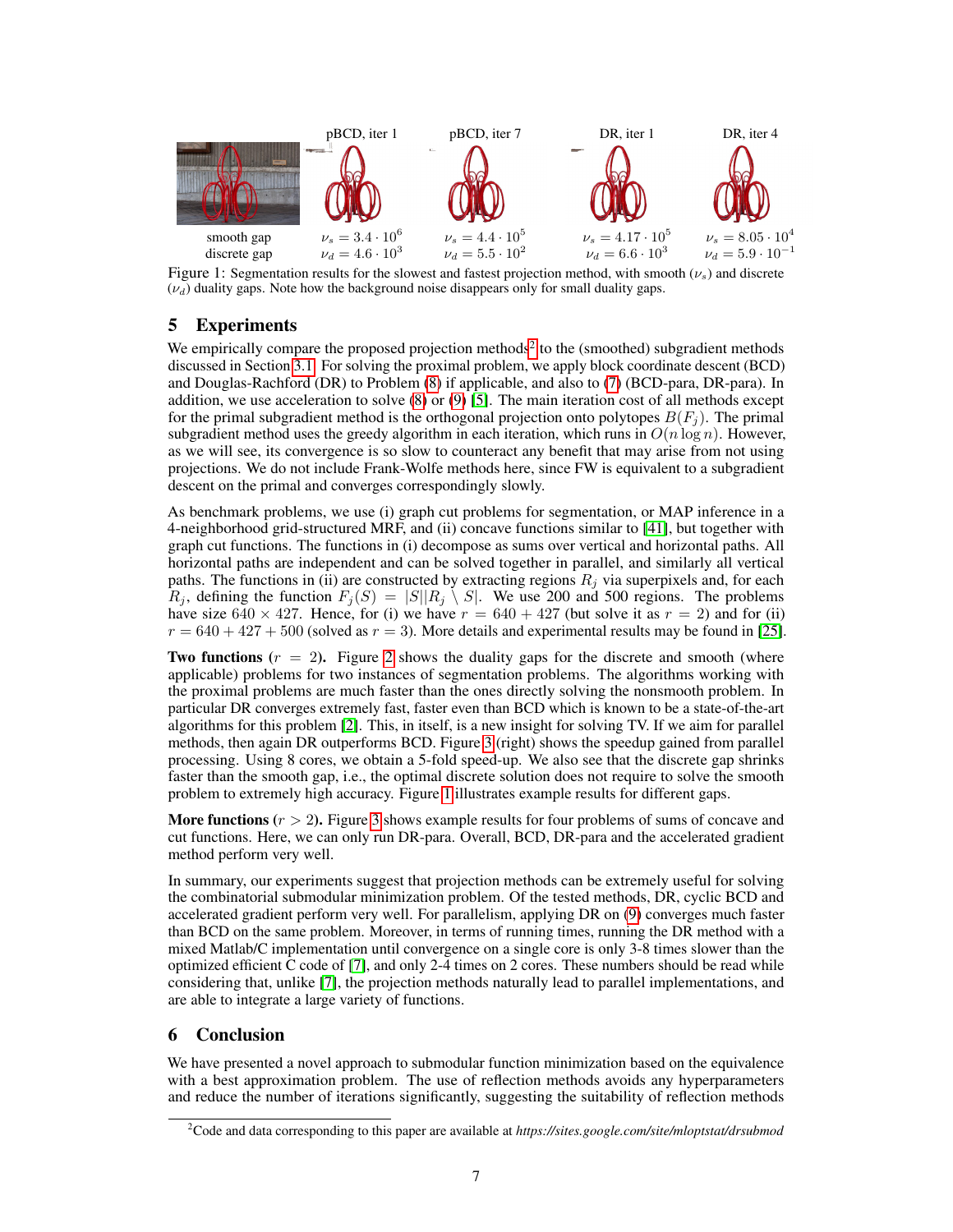

Figure 1: Segmentation results for the slowest and fastest projection method, with smooth ( $\nu_s$ ) and discrete  $(\nu_d)$  duality gaps. Note how the background noise disappears only for small duality gaps.

# 5 Experiments

We empirically compare the proposed projection methods<sup>2</sup> to the (smoothed) subgradient methods discussed in Section 3.1. For solving the proximal problem, we apply block coordinate descent (BCD) and Douglas-Rachford (DR) to Problem (8) if applicable, and also to (7) (BCD-para, DR-para). In addition, we use acceleration to solve (8) or (9) [5]. The main iteration cost of all methods except for the primal subgradient method is the orthogonal projection onto polytopes  $B(F_i)$ . The primal subgradient method uses the greedy algorithm in each iteration, which runs in  $O(n \log n)$ . However, as we will see, its convergence is so slow to counteract any benefit that may arise from not using projections. We do not include Frank-Wolfe methods here, since FW is equivalent to a subgradient descent on the primal and converges correspondingly slowly.

As benchmark problems, we use (i) graph cut problems for segmentation, or MAP inference in a 4-neighborhood grid-structured MRF, and (ii) concave functions similar to [41], but together with graph cut functions. The functions in (i) decompose as sums over vertical and horizontal paths. All horizontal paths are independent and can be solved together in parallel, and similarly all vertical paths. The functions in (ii) are constructed by extracting regions  $R_i$  via superpixels and, for each  $R_j$ , defining the function  $F_j(S) = |S||R_j \setminus S|$ . We use 200 and 500 regions. The problems have size 640  $\times$  427. Hence, for (i) we have  $r = 640 + 427$  (but solve it as  $r = 2$ ) and for (ii)  $r = 640 + 427 + 500$  (solved as  $r = 3$ ). More details and experimental results may be found in [25].

**Two functions**  $(r = 2)$ . Figure 2 shows the duality gaps for the discrete and smooth (where applicable) problems for two instances of segmentation problems. The algorithms working with the proximal problems are much faster than the ones directly solving the nonsmooth problem. In particular DR converges extremely fast, faster even than BCD which is known to be a state-of-the-art algorithms for this problem [2]. This, in itself, is a new insight for solving TV. If we aim for parallel methods, then again DR outperforms BCD. Figure 3 (right) shows the speedup gained from parallel processing. Using 8 cores, we obtain a 5-fold speed-up. We also see that the discrete gap shrinks faster than the smooth gap, i.e., the optimal discrete solution does not require to solve the smooth problem to extremely high accuracy. Figure 1 illustrates example results for different gaps.

**More functions**  $(r > 2)$ . Figure 3 shows example results for four problems of sums of concave and cut functions. Here, we can only run DR-para. Overall, BCD, DR-para and the accelerated gradient method perform very well.

In summary, our experiments suggest that projection methods can be extremely useful for solving the combinatorial submodular minimization problem. Of the tested methods, DR, cyclic BCD and accelerated gradient perform very well. For parallelism, applying DR on (9) converges much faster than BCD on the same problem. Moreover, in terms of running times, running the DR method with a mixed Matlab/C implementation until convergence on a single core is only 3-8 times slower than the optimized efficient C code of [7], and only 2-4 times on 2 cores. These numbers should be read while considering that, unlike [7], the projection methods naturally lead to parallel implementations, and are able to integrate a large variety of functions.

# 6 Conclusion

We have presented a novel approach to submodular function minimization based on the equivalence with a best approximation problem. The use of reflection methods avoids any hyperparameters and reduce the number of iterations significantly, suggesting the suitability of reflection methods

<sup>2</sup>Code and data corresponding to this paper are available at *https://sites.google.com/site/mloptstat/drsubmod*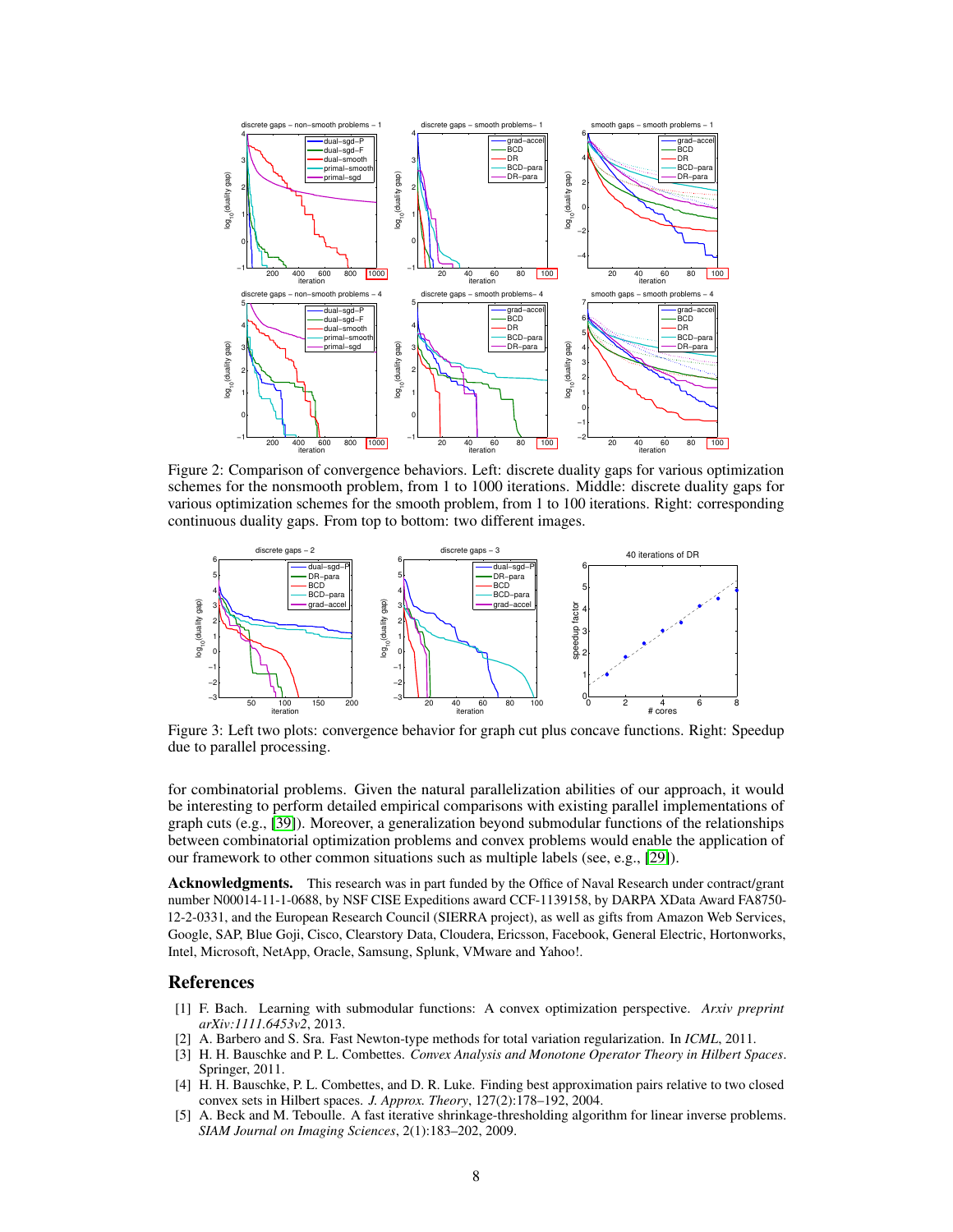

Figure 2: Comparison of convergence behaviors. Left: discrete duality gaps for various optimization schemes for the nonsmooth problem, from 1 to 1000 iterations. Middle: discrete duality gaps for various optimization schemes for the smooth problem, from 1 to 100 iterations. Right: corresponding continuous duality gaps. From top to bottom: two different images.



Figure 3: Left two plots: convergence behavior for graph cut plus concave functions. Right: Speedup due to parallel processing.

for combinatorial problems. Given the natural parallelization abilities of our approach, it would be interesting to perform detailed empirical comparisons with existing parallel implementations of graph cuts (e.g., [39]). Moreover, a generalization beyond submodular functions of the relationships between combinatorial optimization problems and convex problems would enable the application of our framework to other common situations such as multiple labels (see, e.g., [29]).

**Acknowledgments.** This research was in part funded by the Office of Naval Research under contract/grant number N00014-11-1-0688, by NSF CISE Expeditions award CCF-1139158, by DARPA XData Award FA8750- 12-2-0331, and the European Research Council (SIERRA project), as well as gifts from Amazon Web Services, Google, SAP, Blue Goji, Cisco, Clearstory Data, Cloudera, Ericsson, Facebook, General Electric, Hortonworks, Intel, Microsoft, NetApp, Oracle, Samsung, Splunk, VMware and Yahoo!.

## References

- [1] F. Bach. Learning with submodular functions: A convex optimization perspective. *Arxiv preprint arXiv:1111.6453v2*, 2013.
- [2] A. Barbero and S. Sra. Fast Newton-type methods for total variation regularization. In *ICML*, 2011.
- [3] H. H. Bauschke and P. L. Combettes. *Convex Analysis and Monotone Operator Theory in Hilbert Spaces*. Springer, 2011.
- [4] H. H. Bauschke, P. L. Combettes, and D. R. Luke. Finding best approximation pairs relative to two closed convex sets in Hilbert spaces. *J. Approx. Theory*, 127(2):178–192, 2004.
- [5] A. Beck and M. Teboulle. A fast iterative shrinkage-thresholding algorithm for linear inverse problems. *SIAM Journal on Imaging Sciences*, 2(1):183–202, 2009.